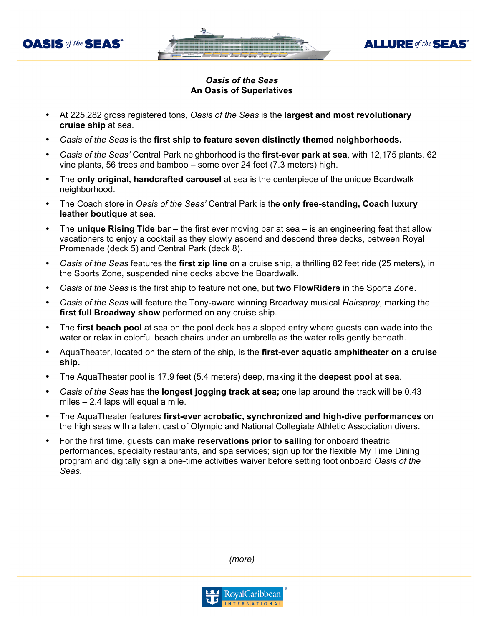



**ALLURE** of the **SEAS** 

- At 225,282 gross registered tons, *Oasis of the Seas* is the **largest and most revolutionary cruise ship** at sea.
- *Oasis of the Seas* is the **first ship to feature seven distinctly themed neighborhoods.**
- *Oasis of the Seas'* Central Park neighborhood is the **first-ever park at sea**, with 12,175 plants, 62 vine plants, 56 trees and bamboo – some over 24 feet (7.3 meters) high.
- The **only original, handcrafted carousel** at sea is the centerpiece of the unique Boardwalk neighborhood.
- The Coach store in *Oasis of the Seas'* Central Park is the **only free-standing, Coach luxury leather boutique** at sea.
- The **unique Rising Tide bar** the first ever moving bar at sea is an engineering feat that allow vacationers to enjoy a cocktail as they slowly ascend and descend three decks, between Royal Promenade (deck 5) and Central Park (deck 8).
- *Oasis of the Seas* features the **first zip line** on a cruise ship, a thrilling 82 feet ride (25 meters), in the Sports Zone, suspended nine decks above the Boardwalk.
- *Oasis of the Seas* is the first ship to feature not one, but **two FlowRiders** in the Sports Zone.
- *Oasis of the Seas* will feature the Tony-award winning Broadway musical *Hairspray*, marking the **first full Broadway show** performed on any cruise ship.
- The **first beach pool** at sea on the pool deck has a sloped entry where guests can wade into the water or relax in colorful beach chairs under an umbrella as the water rolls gently beneath.
- AquaTheater, located on the stern of the ship, is the **first-ever aquatic amphitheater on a cruise ship.**
- The AquaTheater pool is 17.9 feet (5.4 meters) deep, making it the **deepest pool at sea**.
- *Oasis of the Seas* has the **longest jogging track at sea;** one lap around the track will be 0.43 miles – 2.4 laps will equal a mile.
- The AquaTheater features **first-ever acrobatic, synchronized and high-dive performances** on the high seas with a talent cast of Olympic and National Collegiate Athletic Association divers.
- For the first time, guests **can make reservations prior to sailing** for onboard theatric performances, specialty restaurants, and spa services; sign up for the flexible My Time Dining program and digitally sign a one-time activities waiver before setting foot onboard *Oasis of the Seas*.

*(more)*